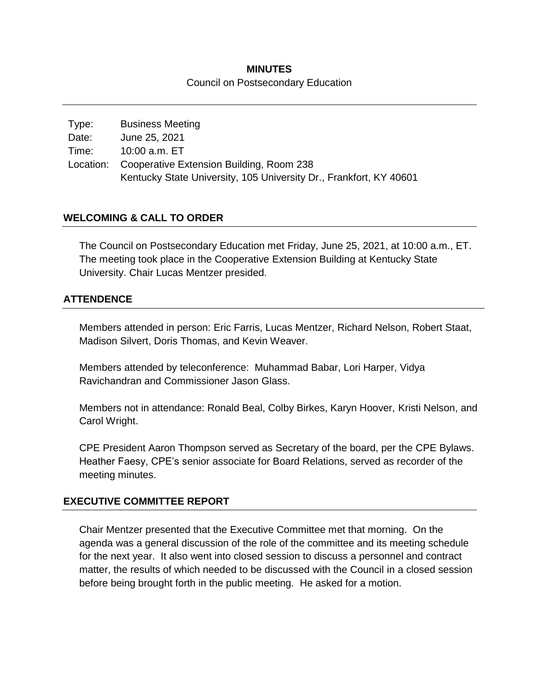### **MINUTES** Council on Postsecondary Education

| <b>Business Meeting</b>                                            |
|--------------------------------------------------------------------|
| June 25, 2021                                                      |
| 10:00 a.m. ET                                                      |
| Location: Cooperative Extension Building, Room 238                 |
| Kentucky State University, 105 University Dr., Frankfort, KY 40601 |
|                                                                    |

### **WELCOMING & CALL TO ORDER**

The Council on Postsecondary Education met Friday, June 25, 2021, at 10:00 a.m., ET. The meeting took place in the Cooperative Extension Building at Kentucky State University. Chair Lucas Mentzer presided.

### **ATTENDENCE**

Members attended in person: Eric Farris, Lucas Mentzer, Richard Nelson, Robert Staat, Madison Silvert, Doris Thomas, and Kevin Weaver.

Members attended by teleconference: Muhammad Babar, Lori Harper, Vidya Ravichandran and Commissioner Jason Glass.

Members not in attendance: Ronald Beal, Colby Birkes, Karyn Hoover, Kristi Nelson, and Carol Wright.

CPE President Aaron Thompson served as Secretary of the board, per the CPE Bylaws. Heather Faesy, CPE's senior associate for Board Relations, served as recorder of the meeting minutes.

### **EXECUTIVE COMMITTEE REPORT**

Chair Mentzer presented that the Executive Committee met that morning. On the agenda was a general discussion of the role of the committee and its meeting schedule for the next year. It also went into closed session to discuss a personnel and contract matter, the results of which needed to be discussed with the Council in a closed session before being brought forth in the public meeting. He asked for a motion.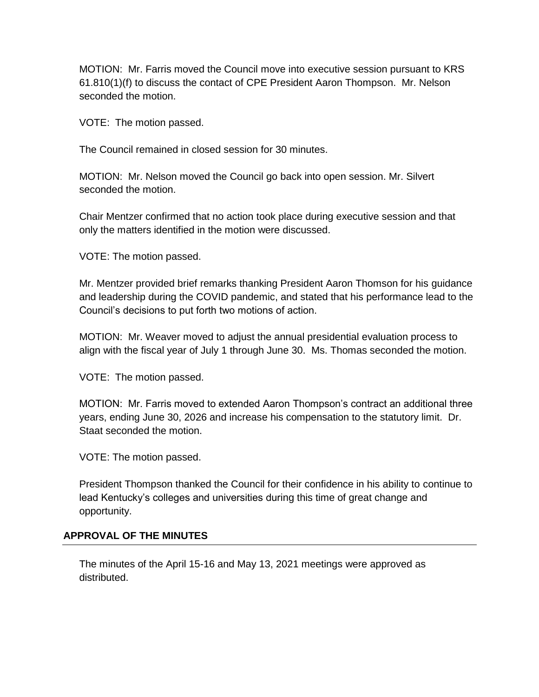MOTION: Mr. Farris moved the Council move into executive session pursuant to KRS 61.810(1)(f) to discuss the contact of CPE President Aaron Thompson. Mr. Nelson seconded the motion.

VOTE: The motion passed.

The Council remained in closed session for 30 minutes.

MOTION: Mr. Nelson moved the Council go back into open session. Mr. Silvert seconded the motion.

Chair Mentzer confirmed that no action took place during executive session and that only the matters identified in the motion were discussed.

VOTE: The motion passed.

Mr. Mentzer provided brief remarks thanking President Aaron Thomson for his guidance and leadership during the COVID pandemic, and stated that his performance lead to the Council's decisions to put forth two motions of action.

MOTION: Mr. Weaver moved to adjust the annual presidential evaluation process to align with the fiscal year of July 1 through June 30. Ms. Thomas seconded the motion.

VOTE: The motion passed.

MOTION: Mr. Farris moved to extended Aaron Thompson's contract an additional three years, ending June 30, 2026 and increase his compensation to the statutory limit. Dr. Staat seconded the motion.

VOTE: The motion passed.

President Thompson thanked the Council for their confidence in his ability to continue to lead Kentucky's colleges and universities during this time of great change and opportunity.

### **APPROVAL OF THE MINUTES**

The minutes of the April 15-16 and May 13, 2021 meetings were approved as distributed.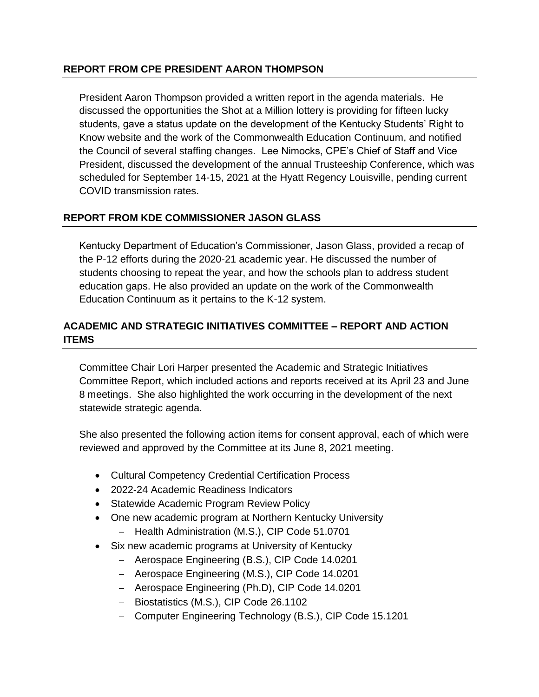### **REPORT FROM CPE PRESIDENT AARON THOMPSON**

President Aaron Thompson provided a written report in the agenda materials. He discussed the opportunities the Shot at a Million lottery is providing for fifteen lucky students, gave a status update on the development of the Kentucky Students' Right to Know website and the work of the Commonwealth Education Continuum, and notified the Council of several staffing changes. Lee Nimocks, CPE's Chief of Staff and Vice President, discussed the development of the annual Trusteeship Conference, which was scheduled for September 14-15, 2021 at the Hyatt Regency Louisville, pending current COVID transmission rates.

# **REPORT FROM KDE COMMISSIONER JASON GLASS**

Kentucky Department of Education's Commissioner, Jason Glass, provided a recap of the P-12 efforts during the 2020-21 academic year. He discussed the number of students choosing to repeat the year, and how the schools plan to address student education gaps. He also provided an update on the work of the Commonwealth Education Continuum as it pertains to the K-12 system.

# **ACADEMIC AND STRATEGIC INITIATIVES COMMITTEE – REPORT AND ACTION ITEMS**

Committee Chair Lori Harper presented the Academic and Strategic Initiatives Committee Report, which included actions and reports received at its April 23 and June 8 meetings. She also highlighted the work occurring in the development of the next statewide strategic agenda.

She also presented the following action items for consent approval, each of which were reviewed and approved by the Committee at its June 8, 2021 meeting.

- Cultural Competency Credential Certification Process
- 2022-24 Academic Readiness Indicators
- Statewide Academic Program Review Policy
- One new academic program at Northern Kentucky University
	- Health Administration (M.S.), CIP Code 51.0701
- Six new academic programs at University of Kentucky
	- Aerospace Engineering (B.S.), CIP Code 14.0201
	- Aerospace Engineering (M.S.), CIP Code 14.0201
	- Aerospace Engineering (Ph.D), CIP Code 14.0201
	- Biostatistics (M.S.), CIP Code 26.1102
	- Computer Engineering Technology (B.S.), CIP Code 15.1201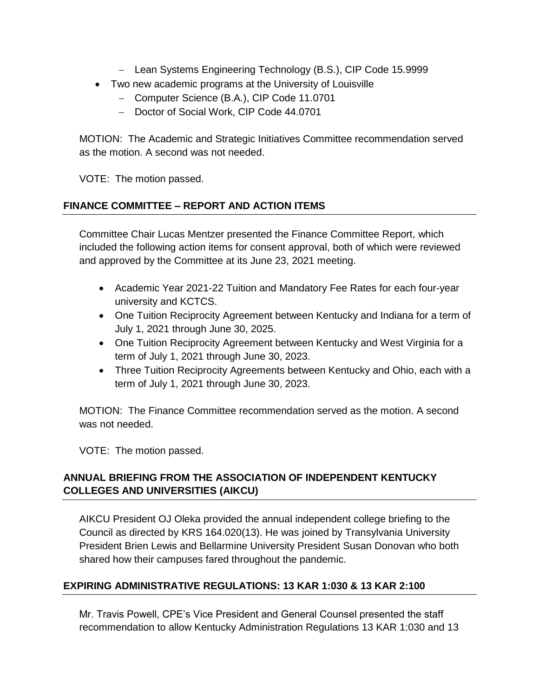- Lean Systems Engineering Technology (B.S.), CIP Code 15.9999
- Two new academic programs at the University of Louisville
	- Computer Science (B.A.), CIP Code 11.0701
	- Doctor of Social Work, CIP Code 44.0701

MOTION: The Academic and Strategic Initiatives Committee recommendation served as the motion. A second was not needed.

VOTE: The motion passed.

# **FINANCE COMMITTEE – REPORT AND ACTION ITEMS**

Committee Chair Lucas Mentzer presented the Finance Committee Report, which included the following action items for consent approval, both of which were reviewed and approved by the Committee at its June 23, 2021 meeting.

- Academic Year 2021-22 Tuition and Mandatory Fee Rates for each four-year university and KCTCS.
- One Tuition Reciprocity Agreement between Kentucky and Indiana for a term of July 1, 2021 through June 30, 2025.
- One Tuition Reciprocity Agreement between Kentucky and West Virginia for a term of July 1, 2021 through June 30, 2023.
- Three Tuition Reciprocity Agreements between Kentucky and Ohio, each with a term of July 1, 2021 through June 30, 2023.

MOTION: The Finance Committee recommendation served as the motion. A second was not needed.

VOTE: The motion passed.

# **ANNUAL BRIEFING FROM THE ASSOCIATION OF INDEPENDENT KENTUCKY COLLEGES AND UNIVERSITIES (AIKCU)**

AIKCU President OJ Oleka provided the annual independent college briefing to the Council as directed by KRS 164.020(13). He was joined by Transylvania University President Brien Lewis and Bellarmine University President Susan Donovan who both shared how their campuses fared throughout the pandemic.

# **EXPIRING ADMINISTRATIVE REGULATIONS: 13 KAR 1:030 & 13 KAR 2:100**

Mr. Travis Powell, CPE's Vice President and General Counsel presented the staff recommendation to allow Kentucky Administration Regulations 13 KAR 1:030 and 13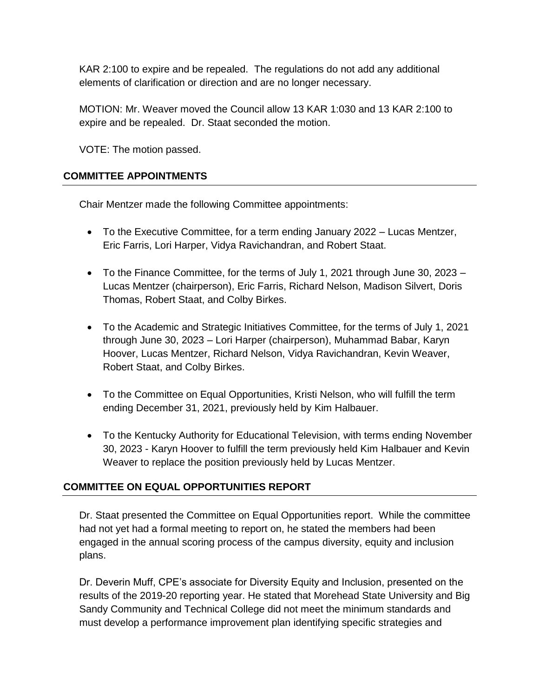KAR 2:100 to expire and be repealed. The regulations do not add any additional elements of clarification or direction and are no longer necessary.

MOTION: Mr. Weaver moved the Council allow 13 KAR 1:030 and 13 KAR 2:100 to expire and be repealed. Dr. Staat seconded the motion.

VOTE: The motion passed.

### **COMMITTEE APPOINTMENTS**

Chair Mentzer made the following Committee appointments:

- To the Executive Committee, for a term ending January 2022 Lucas Mentzer, Eric Farris, Lori Harper, Vidya Ravichandran, and Robert Staat.
- To the Finance Committee, for the terms of July 1, 2021 through June 30, 2023 Lucas Mentzer (chairperson), Eric Farris, Richard Nelson, Madison Silvert, Doris Thomas, Robert Staat, and Colby Birkes.
- To the Academic and Strategic Initiatives Committee, for the terms of July 1, 2021 through June 30, 2023 – Lori Harper (chairperson), Muhammad Babar, Karyn Hoover, Lucas Mentzer, Richard Nelson, Vidya Ravichandran, Kevin Weaver, Robert Staat, and Colby Birkes.
- To the Committee on Equal Opportunities, Kristi Nelson, who will fulfill the term ending December 31, 2021, previously held by Kim Halbauer.
- To the Kentucky Authority for Educational Television, with terms ending November 30, 2023 - Karyn Hoover to fulfill the term previously held Kim Halbauer and Kevin Weaver to replace the position previously held by Lucas Mentzer.

# **COMMITTEE ON EQUAL OPPORTUNITIES REPORT**

Dr. Staat presented the Committee on Equal Opportunities report. While the committee had not yet had a formal meeting to report on, he stated the members had been engaged in the annual scoring process of the campus diversity, equity and inclusion plans.

Dr. Deverin Muff, CPE's associate for Diversity Equity and Inclusion, presented on the results of the 2019-20 reporting year. He stated that Morehead State University and Big Sandy Community and Technical College did not meet the minimum standards and must develop a performance improvement plan identifying specific strategies and